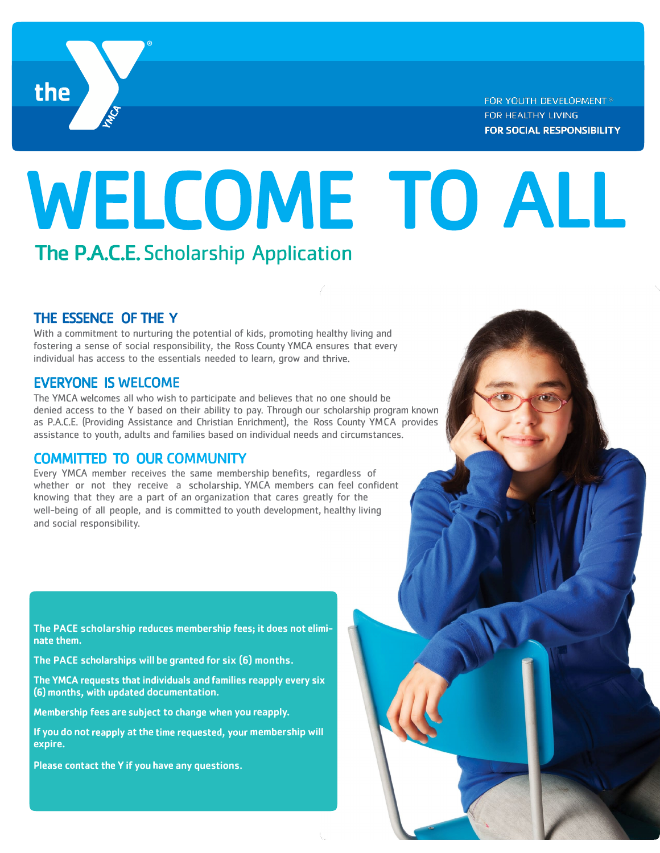

FOR YOUTH DEVELOPMENT® FOR HEALTHY LIVING **FOR SOCIAL RESPONSIBILITY** 

# WELCOME TO ALL The P.A.C.E. Scholarship Application

### THE ESSENCE OF THE Y

With a commitment to nurturing the potential of kids, promoting healthy living and fostering a sense of social responsibility, the Ross County YMCA ensures that every individual has access to the essentials needed to learn, grow and thrive.

#### EVERYONE IS

The YMCA welcomes all who wish to participate and believes that no one should be denied access to the Y based on their ability to pay. Through our scholarship program known as P.A.C.E. (Providing Assistance and Christian Enrichment), the Ross County YMCA provides assistance to youth, adults and families based on individual needs and circumstances.

#### COMMITTED TO OUR

Every YMCA member receives the same membership benefits, regardless of whether or not they receive a scholarship. YMCA members can feel confident knowing that they are a part of an organization that cares greatly for the well-being of all people, and is committed to youth development, healthy living and social responsibility.

The PACE scholarship reduces membership fees; it does not eliminate them.

The PACE scholarships will be granted for six  $(6)$  months.

The YMCA requests that individuals and families reapply every six (6) months, with updated documentation.

Membership fees are subject to change when you reapply.

If you do not reapply at the time requested, your membership will expire.

Please contact the Y if you have any questions.